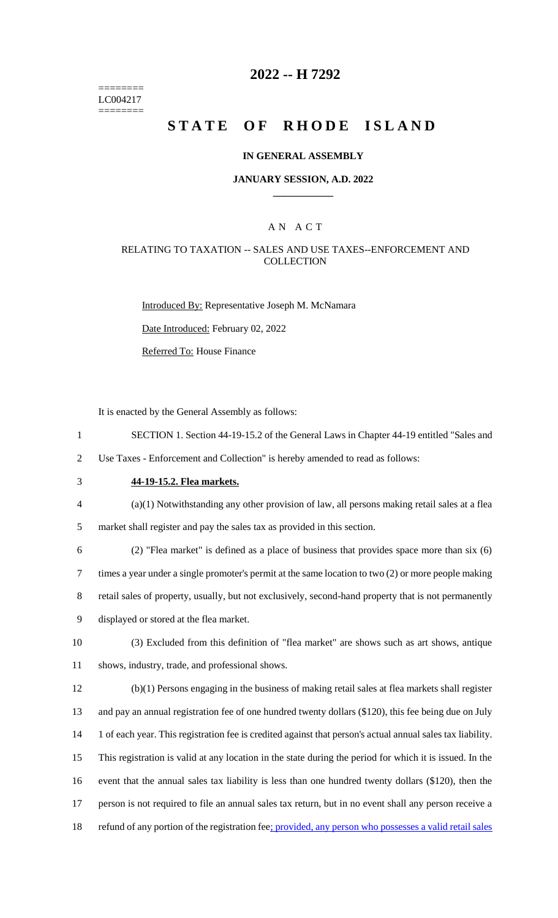======== LC004217 ========

## **2022 -- H 7292**

# **STATE OF RHODE ISLAND**

### **IN GENERAL ASSEMBLY**

#### **JANUARY SESSION, A.D. 2022 \_\_\_\_\_\_\_\_\_\_\_\_**

### A N A C T

### RELATING TO TAXATION -- SALES AND USE TAXES--ENFORCEMENT AND **COLLECTION**

Introduced By: Representative Joseph M. McNamara

Date Introduced: February 02, 2022

Referred To: House Finance

It is enacted by the General Assembly as follows:

- 1 SECTION 1. Section 44-19-15.2 of the General Laws in Chapter 44-19 entitled "Sales and
- 2 Use Taxes Enforcement and Collection" is hereby amended to read as follows:
- 

## 3 **44-19-15.2. Flea markets.**

4 (a)(1) Notwithstanding any other provision of law, all persons making retail sales at a flea 5 market shall register and pay the sales tax as provided in this section.

6 (2) "Flea market" is defined as a place of business that provides space more than six (6) 7 times a year under a single promoter's permit at the same location to two (2) or more people making

8 retail sales of property, usually, but not exclusively, second-hand property that is not permanently 9 displayed or stored at the flea market.

10 (3) Excluded from this definition of "flea market" are shows such as art shows, antique 11 shows, industry, trade, and professional shows.

 (b)(1) Persons engaging in the business of making retail sales at flea markets shall register and pay an annual registration fee of one hundred twenty dollars (\$120), this fee being due on July 1 of each year. This registration fee is credited against that person's actual annual sales tax liability. This registration is valid at any location in the state during the period for which it is issued. In the event that the annual sales tax liability is less than one hundred twenty dollars (\$120), then the person is not required to file an annual sales tax return, but in no event shall any person receive a 18 refund of any portion of the registration fee; provided, any person who possesses a valid retail sales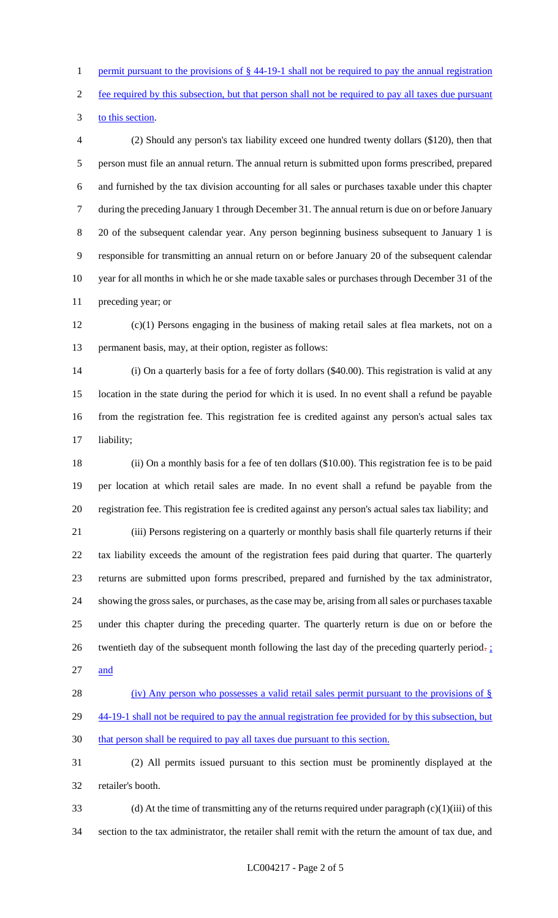1 permit pursuant to the provisions of § 44-19-1 shall not be required to pay the annual registration

fee required by this subsection, but that person shall not be required to pay all taxes due pursuant

to this section.

 (2) Should any person's tax liability exceed one hundred twenty dollars (\$120), then that person must file an annual return. The annual return is submitted upon forms prescribed, prepared and furnished by the tax division accounting for all sales or purchases taxable under this chapter during the preceding January 1 through December 31. The annual return is due on or before January 20 of the subsequent calendar year. Any person beginning business subsequent to January 1 is responsible for transmitting an annual return on or before January 20 of the subsequent calendar year for all months in which he or she made taxable sales or purchases through December 31 of the preceding year; or

 (c)(1) Persons engaging in the business of making retail sales at flea markets, not on a permanent basis, may, at their option, register as follows:

 (i) On a quarterly basis for a fee of forty dollars (\$40.00). This registration is valid at any location in the state during the period for which it is used. In no event shall a refund be payable from the registration fee. This registration fee is credited against any person's actual sales tax liability;

 (ii) On a monthly basis for a fee of ten dollars (\$10.00). This registration fee is to be paid per location at which retail sales are made. In no event shall a refund be payable from the registration fee. This registration fee is credited against any person's actual sales tax liability; and

 (iii) Persons registering on a quarterly or monthly basis shall file quarterly returns if their tax liability exceeds the amount of the registration fees paid during that quarter. The quarterly returns are submitted upon forms prescribed, prepared and furnished by the tax administrator, showing the gross sales, or purchases, as the case may be, arising from all sales or purchases taxable under this chapter during the preceding quarter. The quarterly return is due on or before the 26 twentieth day of the subsequent month following the last day of the preceding quarterly period. and

28 (iv) Any person who possesses a valid retail sales permit pursuant to the provisions of § 29 44-19-1 shall not be required to pay the annual registration fee provided for by this subsection, but that person shall be required to pay all taxes due pursuant to this section.

 (2) All permits issued pursuant to this section must be prominently displayed at the retailer's booth.

33 (d) At the time of transmitting any of the returns required under paragraph  $(c)(1)(iii)$  of this section to the tax administrator, the retailer shall remit with the return the amount of tax due, and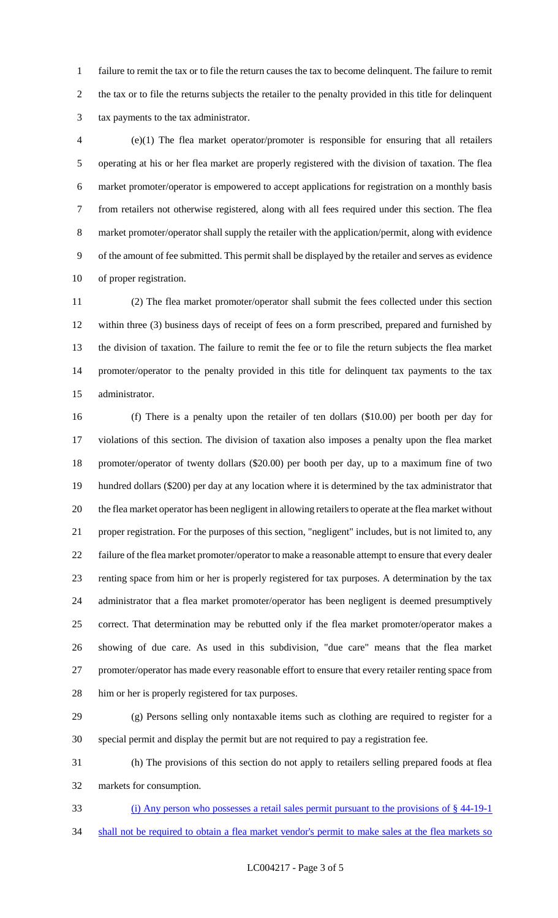failure to remit the tax or to file the return causes the tax to become delinquent. The failure to remit the tax or to file the returns subjects the retailer to the penalty provided in this title for delinquent tax payments to the tax administrator.

 (e)(1) The flea market operator/promoter is responsible for ensuring that all retailers operating at his or her flea market are properly registered with the division of taxation. The flea market promoter/operator is empowered to accept applications for registration on a monthly basis from retailers not otherwise registered, along with all fees required under this section. The flea market promoter/operator shall supply the retailer with the application/permit, along with evidence of the amount of fee submitted. This permit shall be displayed by the retailer and serves as evidence of proper registration.

 (2) The flea market promoter/operator shall submit the fees collected under this section within three (3) business days of receipt of fees on a form prescribed, prepared and furnished by the division of taxation. The failure to remit the fee or to file the return subjects the flea market promoter/operator to the penalty provided in this title for delinquent tax payments to the tax administrator.

 (f) There is a penalty upon the retailer of ten dollars (\$10.00) per booth per day for violations of this section. The division of taxation also imposes a penalty upon the flea market promoter/operator of twenty dollars (\$20.00) per booth per day, up to a maximum fine of two hundred dollars (\$200) per day at any location where it is determined by the tax administrator that the flea market operator has been negligent in allowing retailers to operate at the flea market without proper registration. For the purposes of this section, "negligent" includes, but is not limited to, any failure of the flea market promoter/operator to make a reasonable attempt to ensure that every dealer renting space from him or her is properly registered for tax purposes. A determination by the tax administrator that a flea market promoter/operator has been negligent is deemed presumptively correct. That determination may be rebutted only if the flea market promoter/operator makes a showing of due care. As used in this subdivision, "due care" means that the flea market promoter/operator has made every reasonable effort to ensure that every retailer renting space from him or her is properly registered for tax purposes.

 (g) Persons selling only nontaxable items such as clothing are required to register for a special permit and display the permit but are not required to pay a registration fee.

 (h) The provisions of this section do not apply to retailers selling prepared foods at flea markets for consumption.

(i) Any person who possesses a retail sales permit pursuant to the provisions of § 44-19-1

34 shall not be required to obtain a flea market vendor's permit to make sales at the flea markets so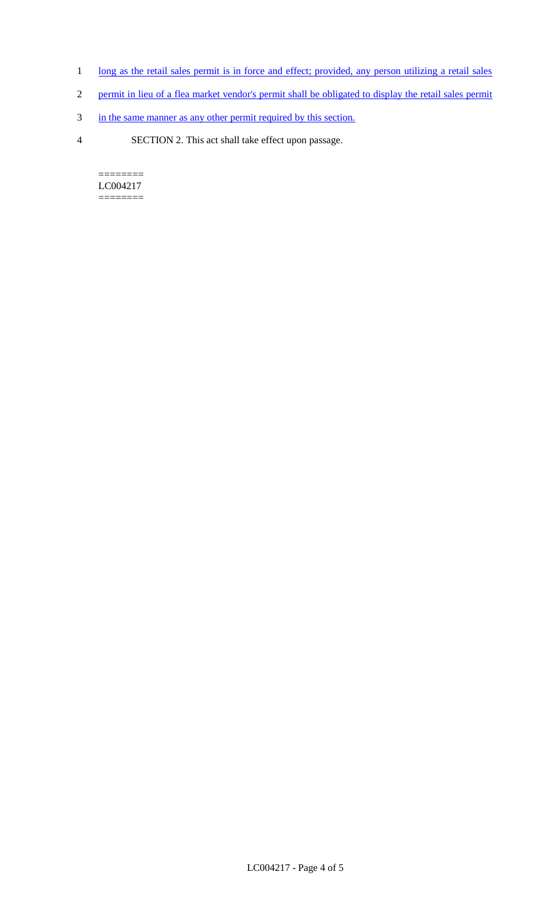- 1 long as the retail sales permit is in force and effect; provided, any person utilizing a retail sales
- 2 permit in lieu of a flea market vendor's permit shall be obligated to display the retail sales permit
- 3 in the same manner as any other permit required by this section.
- 4 SECTION 2. This act shall take effect upon passage.

======== LC004217 ========